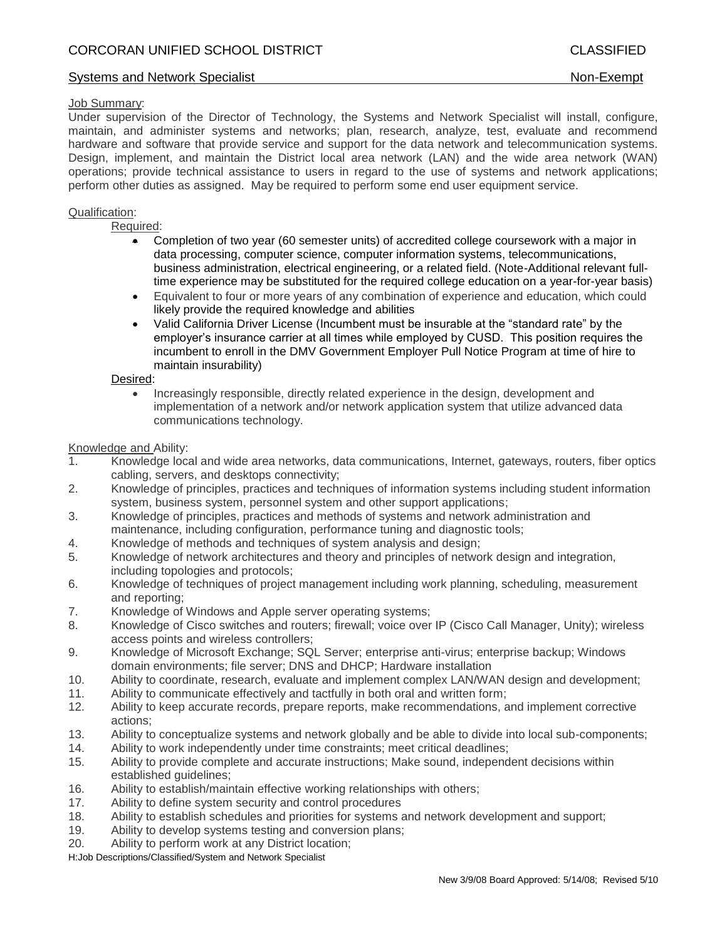### Job Summary:

Under supervision of the Director of Technology, the Systems and Network Specialist will install, configure, maintain, and administer systems and networks; plan, research, analyze, test, evaluate and recommend hardware and software that provide service and support for the data network and telecommunication systems. Design, implement, and maintain the District local area network (LAN) and the wide area network (WAN) operations; provide technical assistance to users in regard to the use of systems and network applications; perform other duties as assigned. May be required to perform some end user equipment service.

### Qualification:

Required:

- Completion of two year (60 semester units) of accredited college coursework with a major in data processing, computer science, computer information systems, telecommunications, business administration, electrical engineering, or a related field. (Note-Additional relevant fulltime experience may be substituted for the required college education on a year-for-year basis)
- Equivalent to four or more years of any combination of experience and education, which could likely provide the required knowledge and abilities
- Valid California Driver License (Incumbent must be insurable at the "standard rate" by the employer's insurance carrier at all times while employed by CUSD. This position requires the incumbent to enroll in the DMV Government Employer Pull Notice Program at time of hire to maintain insurability)

### Desired:

 Increasingly responsible, directly related experience in the design, development and implementation of a network and/or network application system that utilize advanced data communications technology.

### Knowledge and Ability:

- 1. Knowledge local and wide area networks, data communications, Internet, gateways, routers, fiber optics cabling, servers, and desktops connectivity;
- 2. Knowledge of principles, practices and techniques of information systems including student information system, business system, personnel system and other support applications;
- 3. Knowledge of principles, practices and methods of systems and network administration and maintenance, including configuration, performance tuning and diagnostic tools;
- 4. Knowledge of methods and techniques of system analysis and design;
- 5. Knowledge of network architectures and theory and principles of network design and integration, including topologies and protocols;
- 6. Knowledge of techniques of project management including work planning, scheduling, measurement and reporting;
- 7. Knowledge of Windows and Apple server operating systems;
- 8. Knowledge of Cisco switches and routers; firewall; voice over IP (Cisco Call Manager, Unity); wireless access points and wireless controllers;
- 9. Knowledge of Microsoft Exchange; SQL Server; enterprise anti-virus; enterprise backup; Windows domain environments; file server; DNS and DHCP; Hardware installation
- 10. Ability to coordinate, research, evaluate and implement complex LAN/WAN design and development;
- 11. Ability to communicate effectively and tactfully in both oral and written form;
- 12. Ability to keep accurate records, prepare reports, make recommendations, and implement corrective actions;
- 13. Ability to conceptualize systems and network globally and be able to divide into local sub-components;
- 14. Ability to work independently under time constraints; meet critical deadlines;
- 15. Ability to provide complete and accurate instructions; Make sound, independent decisions within established guidelines;
- 16. Ability to establish/maintain effective working relationships with others;
- 17. Ability to define system security and control procedures
- 18. Ability to establish schedules and priorities for systems and network development and support;
- 19. Ability to develop systems testing and conversion plans;
- 20. Ability to perform work at any District location;

H:Job Descriptions/Classified/System and Network Specialist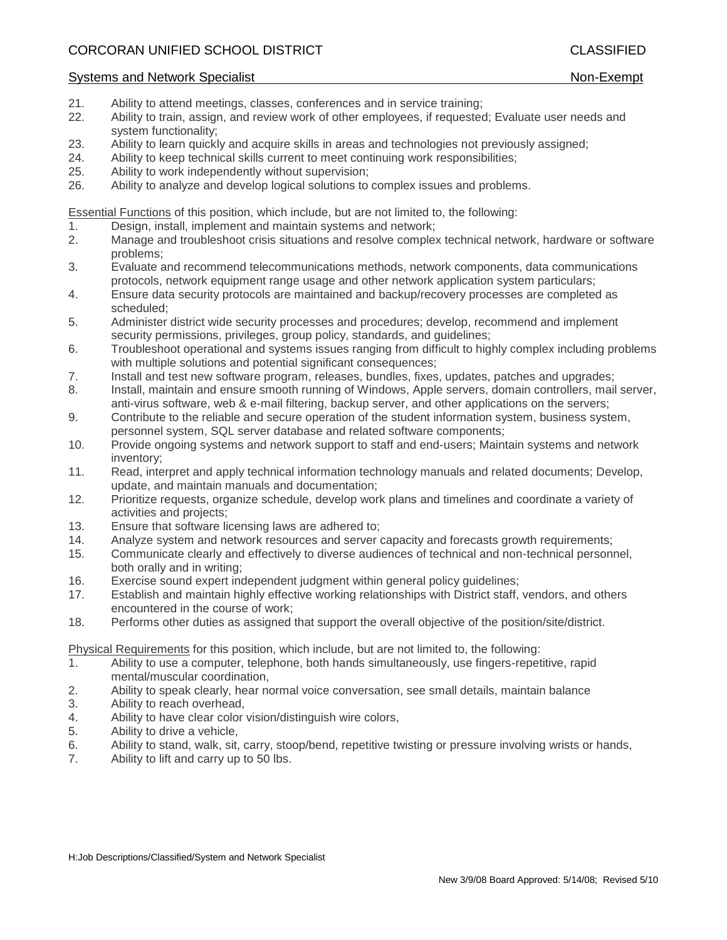# Systems and Network Specialist Non-Exempt Non-Exempt

- 21. Ability to attend meetings, classes, conferences and in service training;
- 22. Ability to train, assign, and review work of other employees, if requested; Evaluate user needs and system functionality;
- 23. Ability to learn quickly and acquire skills in areas and technologies not previously assigned;
- 24. Ability to keep technical skills current to meet continuing work responsibilities;
- 25. Ability to work independently without supervision;
- 26. Ability to analyze and develop logical solutions to complex issues and problems.

Essential Functions of this position, which include, but are not limited to, the following:

- 1. Design, install, implement and maintain systems and network;
- 2. Manage and troubleshoot crisis situations and resolve complex technical network, hardware or software problems;
- 3. Evaluate and recommend telecommunications methods, network components, data communications protocols, network equipment range usage and other network application system particulars;
- 4. Ensure data security protocols are maintained and backup/recovery processes are completed as scheduled;
- 5. Administer district wide security processes and procedures; develop, recommend and implement security permissions, privileges, group policy, standards, and guidelines;
- 6. Troubleshoot operational and systems issues ranging from difficult to highly complex including problems with multiple solutions and potential significant consequences;
- 7. Install and test new software program, releases, bundles, fixes, updates, patches and upgrades;
- 8. Install, maintain and ensure smooth running of Windows, Apple servers, domain controllers, mail server, anti-virus software, web & e-mail filtering, backup server, and other applications on the servers;
- 9. Contribute to the reliable and secure operation of the student information system, business system, personnel system, SQL server database and related software components;
- 10. Provide ongoing systems and network support to staff and end-users; Maintain systems and network inventory;
- 11. Read, interpret and apply technical information technology manuals and related documents; Develop, update, and maintain manuals and documentation;
- 12. Prioritize requests, organize schedule, develop work plans and timelines and coordinate a variety of activities and projects;
- 13. Ensure that software licensing laws are adhered to;
- 14. Analyze system and network resources and server capacity and forecasts growth requirements;
- 15. Communicate clearly and effectively to diverse audiences of technical and non-technical personnel, both orally and in writing;
- 16. Exercise sound expert independent judgment within general policy guidelines;
- 17. Establish and maintain highly effective working relationships with District staff, vendors, and others encountered in the course of work;
- 18. Performs other duties as assigned that support the overall objective of the position/site/district.

Physical Requirements for this position, which include, but are not limited to, the following:

- 1. Ability to use a computer, telephone, both hands simultaneously, use fingers-repetitive, rapid mental/muscular coordination,
- 2. Ability to speak clearly, hear normal voice conversation, see small details, maintain balance
- 3. Ability to reach overhead,
- 4. Ability to have clear color vision/distinguish wire colors,
- 5. Ability to drive a vehicle,
- 6. Ability to stand, walk, sit, carry, stoop/bend, repetitive twisting or pressure involving wrists or hands,
- 7. Ability to lift and carry up to 50 lbs.